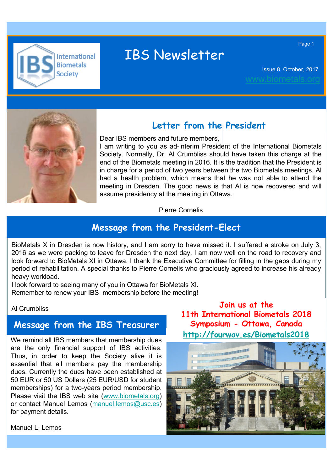

# IBS Newsletter

Issue 8, October, 2017

Page 1

Page 1



#### **Letter from the President**

Dear IBS members and future members,

I am writing to you as ad-interim President of the International Biometals Society. Normally, Dr. Al Crumbliss should have taken this charge at the end of the Biometals meeting in 2016. It is the tradition that the President is in charge for a period of two years between the two Biometals meetings. Al had a health problem, which means that he was not able to attend the meeting in Dresden. The good news is that Al is now recovered and will assume presidency at the meeting in Ottawa.

Pierre Cornelis

#### **Message from the President-Elect**

BioMetals X in Dresden is now history, and I am sorry to have missed it. I suffered a stroke on July 3, 2016 as we were packing to leave for Dresden the next day. I am now well on the road to recovery and look forward to BioMetals XI in Ottawa. I thank the Executive Committee for filling in the gaps during my period of rehabilitation. A special thanks to Pierre Cornelis who graciously agreed to increase his already heavy workload.

I look forward to seeing many of you in Ottawa for BioMetals XI. Remember to renew your IBS membership before the meeting!

#### Al Crumbliss

Manuel L. Lemos

#### **Message from the IBS Treasurer**

We remind all IBS members that membership dues are the only financial support of IBS activities. Thus, in order to keep the Society alive it is essential that all members pay the membership dues. Currently the dues have been established at 50 EUR or 50 US Dollars (25 EUR/USD for student memberships) for a two-years period membership. Please visit the IBS web site (www.biometals.org) or contact Manuel Lemos (manuel.lemos@usc.es) for payment details.

**Join us at the 11th International Biometals 2018 Symposium - Ottawa, Canada http://fourwav.es/Biometals2018**

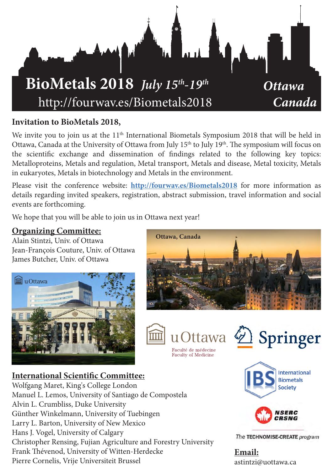

#### **Invitation to BioMetals 2018,**

We invite you to join us at the 11<sup>th</sup> International Biometals Symposium 2018 that will be held in Ottawa, Canada at the University of Ottawa from July 15<sup>th</sup> to July 19<sup>th</sup>. The symposium will focus on the scientific exchange and dissemination of findings related to the following key topics: Metalloproteins, Metals and regulation, Metal transport, Metals and disease, Metal toxicity, Metals in eukaryotes, Metals in biotechnology and Metals in the environment.

Please visit the conference website: **http://fourwav.es/Biometals2018** for more information as details regarding invited speakers, registration, abstract submission, travel information and social events are forthcoming.

We hope that you will be able to join us in Ottawa next year!

#### **Organizing Committee:**

Alain Stintzi, Univ. of Ottawa Jean-François Couture, Univ. of Ottawa James Butcher, Univ. of Ottawa







Faculté de médecine **Faculty of Medicine** 

2 Springer

**International Scientific Committee:** Wolfgang Maret, King's College London Manuel L. Lemos, University of Santiago de Compostela Alvin L. Crumbliss, Duke University Günther Winkelmann, University of Tuebingen Larry L. Barton, University of New Mexico Hans J. Vogel, University of Calgary Christopher Rensing, Fujian Agriculture and Forestry University Frank Thévenod, University of Witten-Herdecke Pierre Cornelis, Vrije Universiteit Brussel





The TECHNOMISE-CREATE program

**Email:** astintzi@uottawa.ca